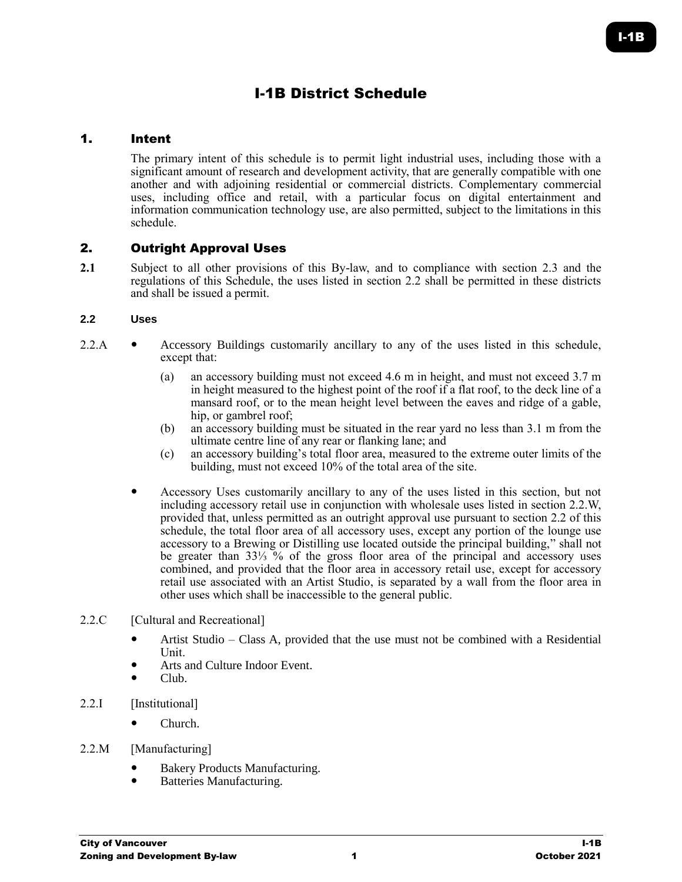# I-1B District Schedule

## 1. Intent

The primary intent of this schedule is to permit light industrial uses, including those with a significant amount of research and development activity, that are generally compatible with one another and with adjoining residential or commercial districts. Complementary commercial uses, including office and retail, with a particular focus on digital entertainment and information communication technology use, are also permitted, subject to the limitations in this schedule.

# 2. Outright Approval Uses

**2.1** Subject to all other provisions of this By-law, and to compliance with section 2.3 and the regulations of this Schedule, the uses listed in section 2.2 shall be permitted in these districts and shall be issued a permit.

#### **2.2 Uses**

- 2.2.A Accessory Buildings customarily ancillary to any of the uses listed in this schedule, except that:
	- (a) an accessory building must not exceed 4.6 m in height, and must not exceed 3.7 m in height measured to the highest point of the roof if a flat roof, to the deck line of a mansard roof, or to the mean height level between the eaves and ridge of a gable, hip, or gambrel roof;
	- (b) an accessory building must be situated in the rear yard no less than 3.1 m from the ultimate centre line of any rear or flanking lane; and
	- (c) an accessory building's total floor area, measured to the extreme outer limits of the building, must not exceed 10% of the total area of the site.
	- Accessory Uses customarily ancillary to any of the uses listed in this section, but not including accessory retail use in conjunction with wholesale uses listed in section 2.2.W, provided that, unless permitted as an outright approval use pursuant to section 2.2 of this schedule, the total floor area of all accessory uses, except any portion of the lounge use accessory to a Brewing or Distilling use located outside the principal building," shall not be greater than 33⅓ % of the gross floor area of the principal and accessory uses combined, and provided that the floor area in accessory retail use, except for accessory retail use associated with an Artist Studio, is separated by a wall from the floor area in other uses which shall be inaccessible to the general public.
- 2.2.C [Cultural and Recreational]
	- Artist Studio Class A, provided that the use must not be combined with a Residential Unit.
	- Arts and Culture Indoor Event.
	- Club.
- 2.2.I [Institutional]
	- Church.
- 2.2.M [Manufacturing]
	- Bakery Products Manufacturing.
	- Batteries Manufacturing.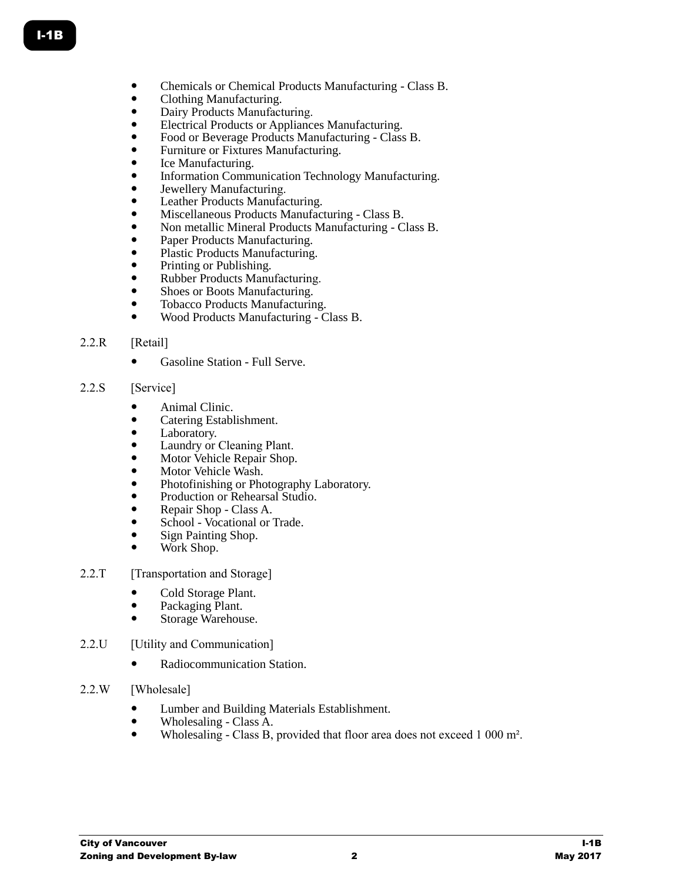- Chemicals or Chemical Products Manufacturing Class B.
- Clothing Manufacturing.
- Dairy Products Manufacturing.
- Electrical Products or Appliances Manufacturing.
- Food or Beverage Products Manufacturing Class B.
- Furniture or Fixtures Manufacturing.
- Ice Manufacturing.
- Information Communication Technology Manufacturing.
- Jewellery Manufacturing.
- Leather Products Manufacturing.
- Miscellaneous Products Manufacturing Class B.
- Non metallic Mineral Products Manufacturing Class B.
- Paper Products Manufacturing.
- Plastic Products Manufacturing.
- Printing or Publishing.
- Rubber Products Manufacturing.
- Shoes or Boots Manufacturing.
- Tobacco Products Manufacturing.
- Wood Products Manufacturing Class B.

# 2.2.R [Retail]

• Gasoline Station - Full Serve.

## 2.2.S [Service]

- Animal Clinic.
- Catering Establishment.
- Laboratory.
- Laundry or Cleaning Plant.
- Motor Vehicle Repair Shop.
- Motor Vehicle Wash.
- Photofinishing or Photography Laboratory.
- Production or Rehearsal Studio.
- Repair Shop Class A.
- School Vocational or Trade.
- Sign Painting Shop.
- Work Shop.

## 2.2.T [Transportation and Storage]

- Cold Storage Plant.<br>• Packaging Plant
- Packaging Plant.
- Storage Warehouse.
- 2.2.U [Utility and Communication]
	- Radiocommunication Station.
- 2.2.W [Wholesale]
	- Lumber and Building Materials Establishment.
	- $\bullet$  Wholesaling Class A.
	- Wholesaling Class B, provided that floor area does not exceed 1 000 m².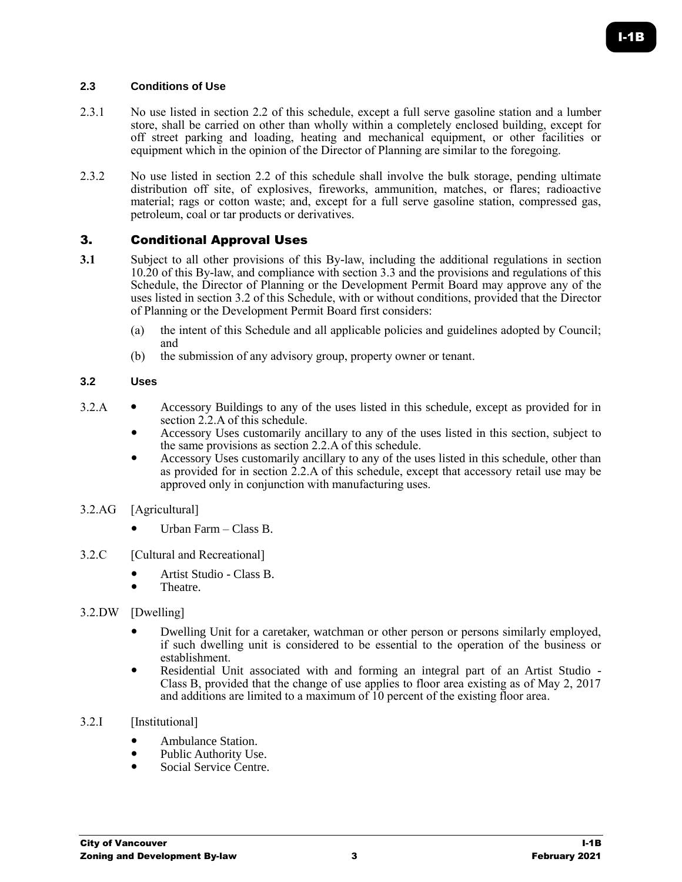# **2.3 Conditions of Use**

- 2.3.1 No use listed in section 2.2 of this schedule, except a full serve gasoline station and a lumber store, shall be carried on other than wholly within a completely enclosed building, except for off street parking and loading, heating and mechanical equipment, or other facilities or equipment which in the opinion of the Director of Planning are similar to the foregoing.
- 2.3.2 No use listed in section 2.2 of this schedule shall involve the bulk storage, pending ultimate distribution off site, of explosives, fireworks, ammunition, matches, or flares; radioactive material; rags or cotton waste; and, except for a full serve gasoline station, compressed gas, petroleum, coal or tar products or derivatives.

## 3. Conditional Approval Uses

- **3.1** Subject to all other provisions of this By-law, including the additional regulations in section 10.20 of this By-law, and compliance with section 3.3 and the provisions and regulations of this Schedule, the Director of Planning or the Development Permit Board may approve any of the uses listed in section 3.2 of this Schedule, with or without conditions, provided that the Director of Planning or the Development Permit Board first considers:
	- (a) the intent of this Schedule and all applicable policies and guidelines adopted by Council; and
	- (b) the submission of any advisory group, property owner or tenant.

#### **3.2 Uses**

- 3.2.A Accessory Buildings to any of the uses listed in this schedule, except as provided for in section 2.2.A of this schedule.
	- Accessory Uses customarily ancillary to any of the uses listed in this section, subject to the same provisions as section 2.2.A of this schedule.
	- Accessory Uses customarily ancillary to any of the uses listed in this schedule, other than as provided for in section 2.2.A of this schedule, except that accessory retail use may be approved only in conjunction with manufacturing uses.
- 3.2.AG [Agricultural]
	- Urban Farm Class B.
- 3.2.C [Cultural and Recreational]
	- Artist Studio Class B.
	- Theatre.
- 3.2.DW [Dwelling]
	- Dwelling Unit for a caretaker, watchman or other person or persons similarly employed, if such dwelling unit is considered to be essential to the operation of the business or establishment.
	- Residential Unit associated with and forming an integral part of an Artist Studio Class B, provided that the change of use applies to floor area existing as of May 2, 2017 and additions are limited to a maximum of 10 percent of the existing floor area.
- 3.2.I [Institutional]
	- Ambulance Station.
	- Public Authority Use.
	- Social Service Centre.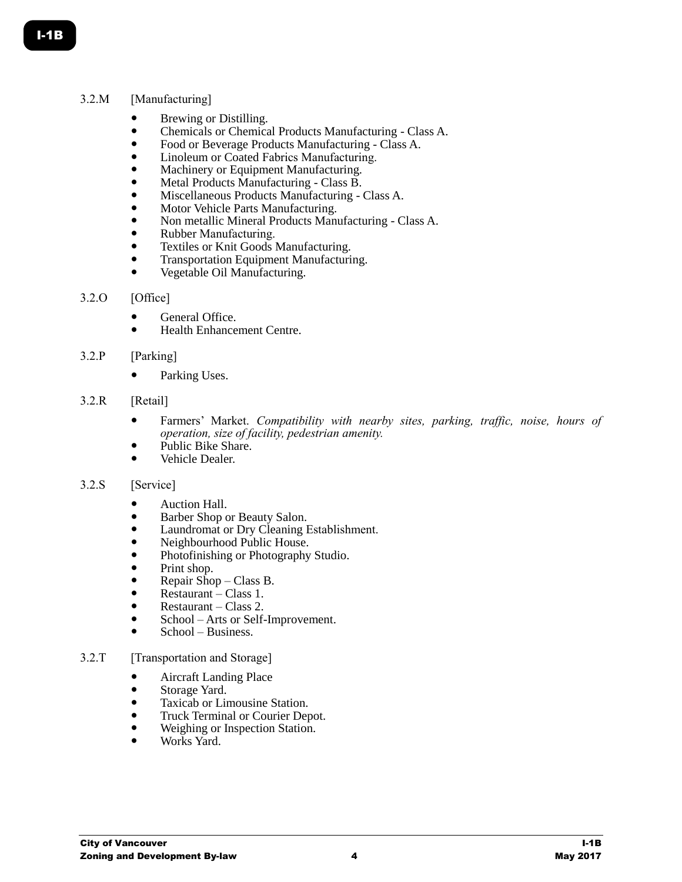## 3.2.M [Manufacturing]

- Brewing or Distilling.
- Chemicals or Chemical Products Manufacturing Class A.
- Food or Beverage Products Manufacturing Class A.
- Linoleum or Coated Fabrics Manufacturing.
- Machinery or Equipment Manufacturing.
- Metal Products Manufacturing Class B.
- Miscellaneous Products Manufacturing Class A.
- Motor Vehicle Parts Manufacturing.
- Non metallic Mineral Products Manufacturing Class A.
- Rubber Manufacturing.
- **•** Textiles or Knit Goods Manufacturing.
- Transportation Equipment Manufacturing.
- Vegetable Oil Manufacturing.

#### 3.2.O [Office]

- General Office.
- Health Enhancement Centre.

## 3.2.P [Parking]

• Parking Uses.

#### 3.2.R [Retail]

- Farmers' Market. *Compatibility with nearby sites, parking, traffic, noise, hours of operation, size of facility, pedestrian amenity.*
- Public Bike Share.
- Vehicle Dealer.

#### 3.2.S [Service]

- Auction Hall.
- Barber Shop or Beauty Salon.
- Laundromat or Dry Cleaning Establishment.
- Neighbourhood Public House.
- Photofinishing or Photography Studio.
- Print shop.
- Repair Shop Class B.
- Restaurant Class 1.
- Restaurant Class 2.
- School Arts or Self-Improvement.
- School Business.

## 3.2.T [Transportation and Storage]

- Aircraft Landing Place
- Storage Yard.
- Taxicab or Limousine Station.
- Truck Terminal or Courier Depot.
- Weighing or Inspection Station.
- Works Yard.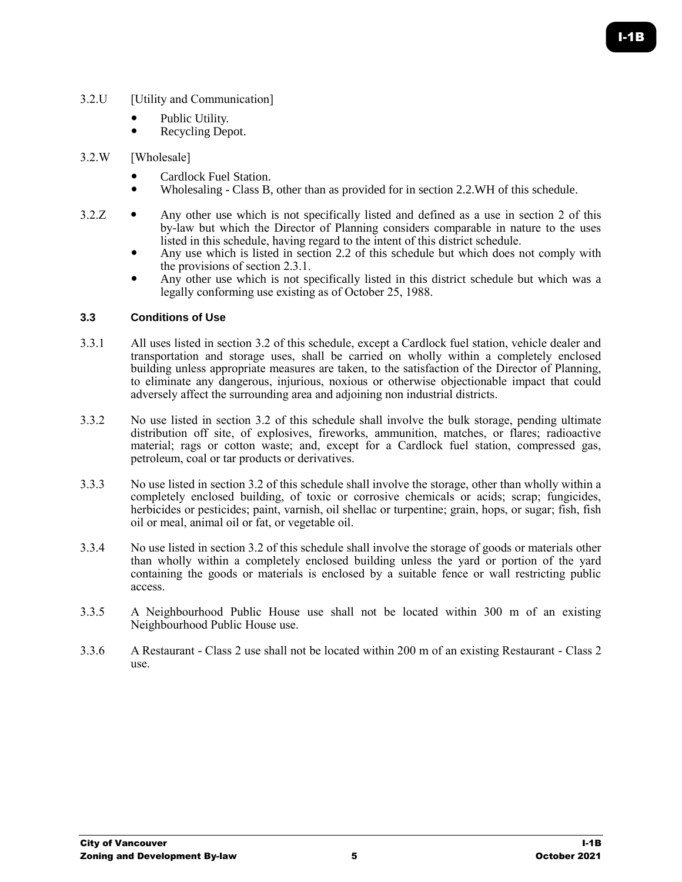- 3.2.U [Utility and Communication]
	- Public Utility.
	- Recycling Depot.

## 3.2.W [Wholesale]

- Cardlock Fuel Station.
- Wholesaling Class B, other than as provided for in section 2.2.WH of this schedule.
- $3.2.Z$  Any other use which is not specifically listed and defined as a use in section 2 of this by-law but which the Director of Planning considers comparable in nature to the uses listed in this schedule, having regard to the intent of this district schedule.
	- Any use which is listed in section 2.2 of this schedule but which does not comply with the provisions of section 2.3.1.
	- Any other use which is not specifically listed in this district schedule but which was a legally conforming use existing as of October 25, 1988.

## **3.3 Conditions of Use**

- 3.3.1 All uses listed in section 3.2 of this schedule, except a Cardlock fuel station, vehicle dealer and transportation and storage uses, shall be carried on wholly within a completely enclosed building unless appropriate measures are taken, to the satisfaction of the Director of Planning, to eliminate any dangerous, injurious, noxious or otherwise objectionable impact that could adversely affect the surrounding area and adjoining non industrial districts.
- 3.3.2 No use listed in section 3.2 of this schedule shall involve the bulk storage, pending ultimate distribution off site, of explosives, fireworks, ammunition, matches, or flares; radioactive material; rags or cotton waste; and, except for a Cardlock fuel station, compressed gas, petroleum, coal or tar products or derivatives.
- 3.3.3 No use listed in section 3.2 of this schedule shall involve the storage, other than wholly within a completely enclosed building, of toxic or corrosive chemicals or acids; scrap; fungicides, herbicides or pesticides; paint, varnish, oil shellac or turpentine; grain, hops, or sugar; fish, fish oil or meal, animal oil or fat, or vegetable oil.
- 3.3.4 No use listed in section 3.2 of this schedule shall involve the storage of goods or materials other than wholly within a completely enclosed building unless the yard or portion of the yard containing the goods or materials is enclosed by a suitable fence or wall restricting public access.
- 3.3.5 A Neighbourhood Public House use shall not be located within 300 m of an existing Neighbourhood Public House use.
- 3.3.6 A Restaurant Class 2 use shall not be located within 200 m of an existing Restaurant Class 2 use.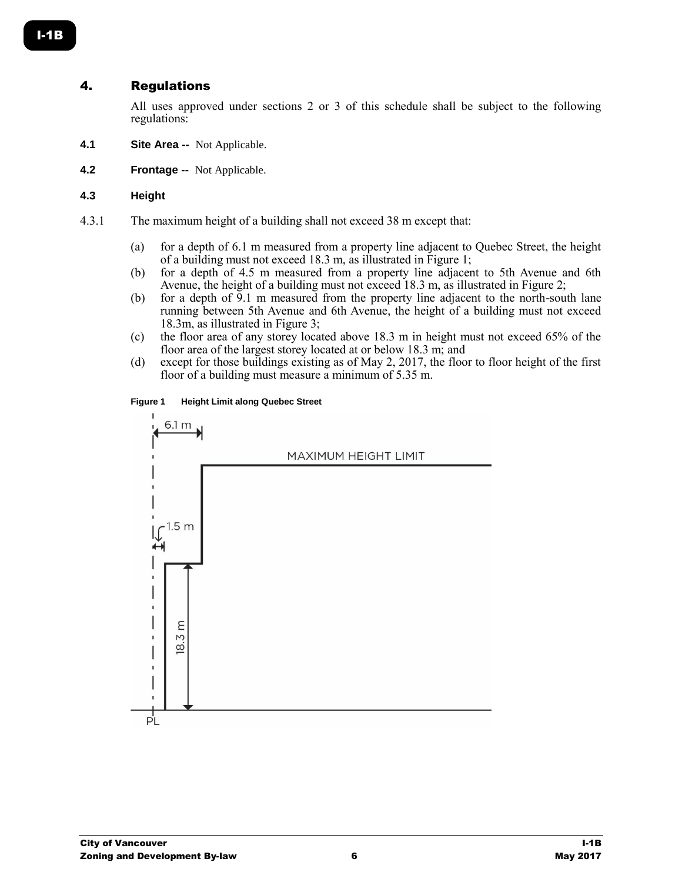# 4. Regulations

All uses approved under sections 2 or 3 of this schedule shall be subject to the following regulations:

- **4.1 Site Area --** Not Applicable.
- **4.2 Frontage --** Not Applicable.

#### **4.3 Height**

- 4.3.1 The maximum height of a building shall not exceed 38 m except that:
	- (a) for a depth of 6.1 m measured from a property line adjacent to Quebec Street, the height of a building must not exceed 18.3 m, as illustrated in Figure 1;
	- (b) for a depth of 4.5 m measured from a property line adjacent to 5th Avenue and 6th Avenue, the height of a building must not exceed 18.3 m, as illustrated in Figure 2;
	- (b) for a depth of 9.1 m measured from the property line adjacent to the north-south lane running between 5th Avenue and 6th Avenue, the height of a building must not exceed 18.3m, as illustrated in Figure 3;
	- (c) the floor area of any storey located above 18.3 m in height must not exceed 65% of the floor area of the largest storey located at or below 18.3 m; and
	- (d) except for those buildings existing as of May 2, 2017, the floor to floor height of the first floor of a building must measure a minimum of 5.35 m.

#### **Figure 1 Height Limit along Quebec Street**



I-1B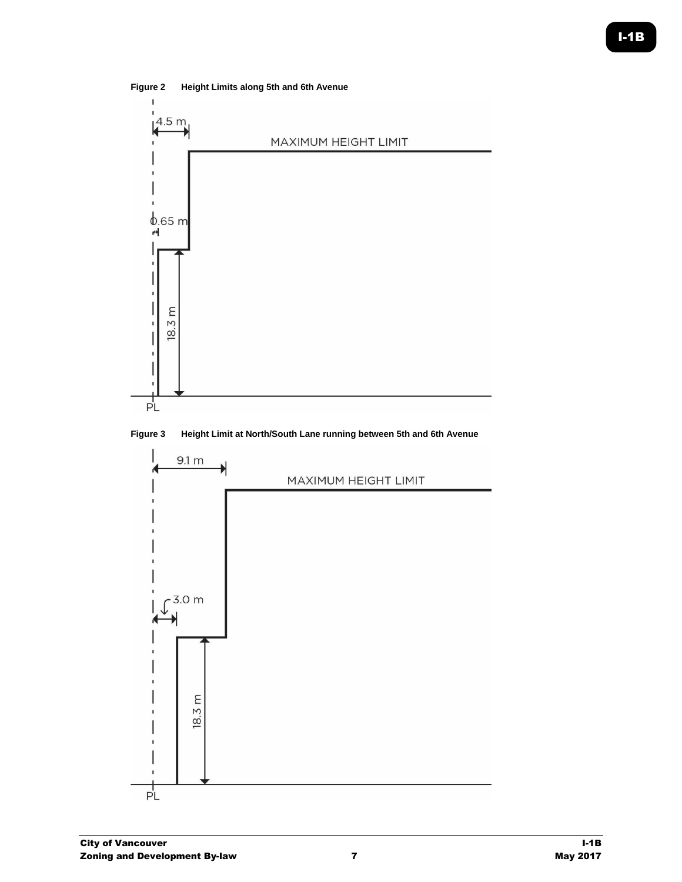

**Figure 2 Height Limits along 5th and 6th Avenue**



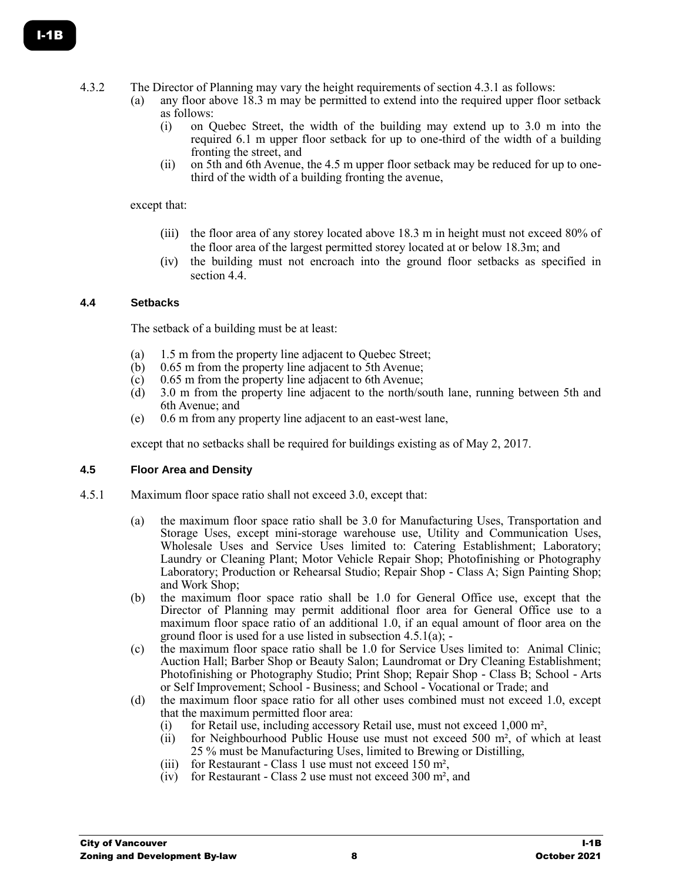- 4.3.2 The Director of Planning may vary the height requirements of section 4.3.1 as follows:
	- (a) any floor above 18.3 m may be permitted to extend into the required upper floor setback as follows:
		- (i) on Quebec Street, the width of the building may extend up to 3.0 m into the required 6.1 m upper floor setback for up to one-third of the width of a building fronting the street, and
		- (ii) on 5th and 6th Avenue, the 4.5 m upper floor setback may be reduced for up to onethird of the width of a building fronting the avenue,

#### except that:

- (iii) the floor area of any storey located above 18.3 m in height must not exceed 80% of the floor area of the largest permitted storey located at or below 18.3m; and
- (iv) the building must not encroach into the ground floor setbacks as specified in section 4.4.

## **4.4 Setbacks**

The setback of a building must be at least:

- (a) 1.5 m from the property line adjacent to Quebec Street;
- (b)  $0.65$  m from the property line adjacent to 5th Avenue;<br>(c)  $0.65$  m from the property line adjacent to 6th Avenue;
- $(0.65 \text{ m from the property line adjacent to 6th Avenue})$ ;
- (d) 3.0 m from the property line adjacent to the north/south lane, running between 5th and 6th Avenue; and
- (e) 0.6 m from any property line adjacent to an east-west lane,

except that no setbacks shall be required for buildings existing as of May 2, 2017.

## **4.5 Floor Area and Density**

- 4.5.1 Maximum floor space ratio shall not exceed 3.0, except that:
	- (a) the maximum floor space ratio shall be 3.0 for Manufacturing Uses, Transportation and Storage Uses, except mini-storage warehouse use, Utility and Communication Uses, Wholesale Uses and Service Uses limited to: Catering Establishment; Laboratory; Laundry or Cleaning Plant; Motor Vehicle Repair Shop; Photofinishing or Photography Laboratory; Production or Rehearsal Studio; Repair Shop - Class A; Sign Painting Shop; and Work Shop;
	- (b) the maximum floor space ratio shall be 1.0 for General Office use, except that the Director of Planning may permit additional floor area for General Office use to a maximum floor space ratio of an additional 1.0, if an equal amount of floor area on the ground floor is used for a use listed in subsection 4.5.1(a); -
	- (c) the maximum floor space ratio shall be 1.0 for Service Uses limited to: Animal Clinic; Auction Hall; Barber Shop or Beauty Salon; Laundromat or Dry Cleaning Establishment; Photofinishing or Photography Studio; Print Shop; Repair Shop - Class B; School - Arts or Self Improvement; School - Business; and School - Vocational or Trade; and
	- (d) the maximum floor space ratio for all other uses combined must not exceed 1.0, except that the maximum permitted floor area:
		- (i) for Retail use, including accessory Retail use, must not exceed 1,000 m²,
		- (ii) for Neighbourhood Public House use must not exceed 500 m², of which at least 25 % must be Manufacturing Uses, limited to Brewing or Distilling,
		- (iii) for Restaurant Class 1 use must not exceed 150 m<sup>2</sup>,
		- (iv) for Restaurant Class 2 use must not exceed 300 m², and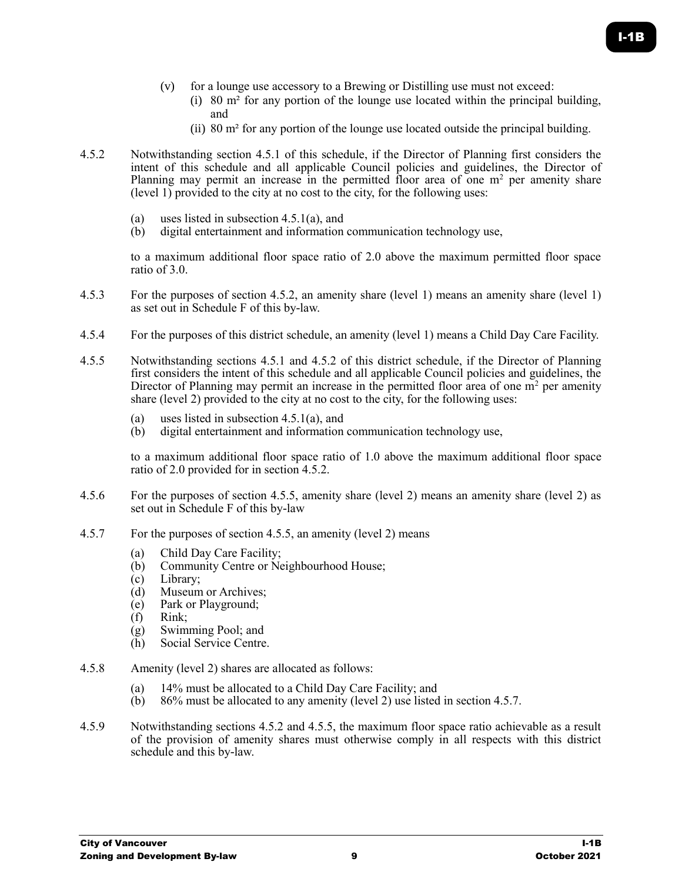- (v) for a lounge use accessory to a Brewing or Distilling use must not exceed:
	- (i) 80  $\text{m}^2$  for any portion of the lounge use located within the principal building, and
	- (ii) 80 m² for any portion of the lounge use located outside the principal building.
- 4.5.2 Notwithstanding section 4.5.1 of this schedule, if the Director of Planning first considers the intent of this schedule and all applicable Council policies and guidelines, the Director of Planning may permit an increase in the permitted floor area of one  $m<sup>2</sup>$  per amenity share (level 1) provided to the city at no cost to the city, for the following uses:
	- (a) uses listed in subsection 4.5.1(a), and
	- (b) digital entertainment and information communication technology use,

to a maximum additional floor space ratio of 2.0 above the maximum permitted floor space ratio of 3.0.

- 4.5.3 For the purposes of section 4.5.2, an amenity share (level 1) means an amenity share (level 1) as set out in Schedule F of this by-law.
- 4.5.4 For the purposes of this district schedule, an amenity (level 1) means a Child Day Care Facility.
- 4.5.5 Notwithstanding sections 4.5.1 and 4.5.2 of this district schedule, if the Director of Planning first considers the intent of this schedule and all applicable Council policies and guidelines, the Director of Planning may permit an increase in the permitted floor area of one  $m<sup>2</sup>$  per amenity share (level 2) provided to the city at no cost to the city, for the following uses:
	- (a) uses listed in subsection 4.5.1(a), and
	- (b) digital entertainment and information communication technology use,

to a maximum additional floor space ratio of 1.0 above the maximum additional floor space ratio of 2.0 provided for in section 4.5.2.

- 4.5.6 For the purposes of section 4.5.5, amenity share (level 2) means an amenity share (level 2) as set out in Schedule F of this by-law
- 4.5.7 For the purposes of section 4.5.5, an amenity (level 2) means
	- (a) Child Day Care Facility;<br>(b) Community Centre or Ne
	- Community Centre or Neighbourhood House;
	- (c) Library;
	- (d) Museum or Archives;
	- (e) Park or Playground;
	- (f) Rink;
	- (g) Swimming Pool; and<br>(h) Social Service Centre
	- Social Service Centre.
- 4.5.8 Amenity (level 2) shares are allocated as follows:
	- (a) 14% must be allocated to a Child Day Care Facility; and
	- (b) 86% must be allocated to any amenity (level 2) use listed in section 4.5.7.
- 4.5.9 Notwithstanding sections 4.5.2 and 4.5.5, the maximum floor space ratio achievable as a result of the provision of amenity shares must otherwise comply in all respects with this district schedule and this by-law.